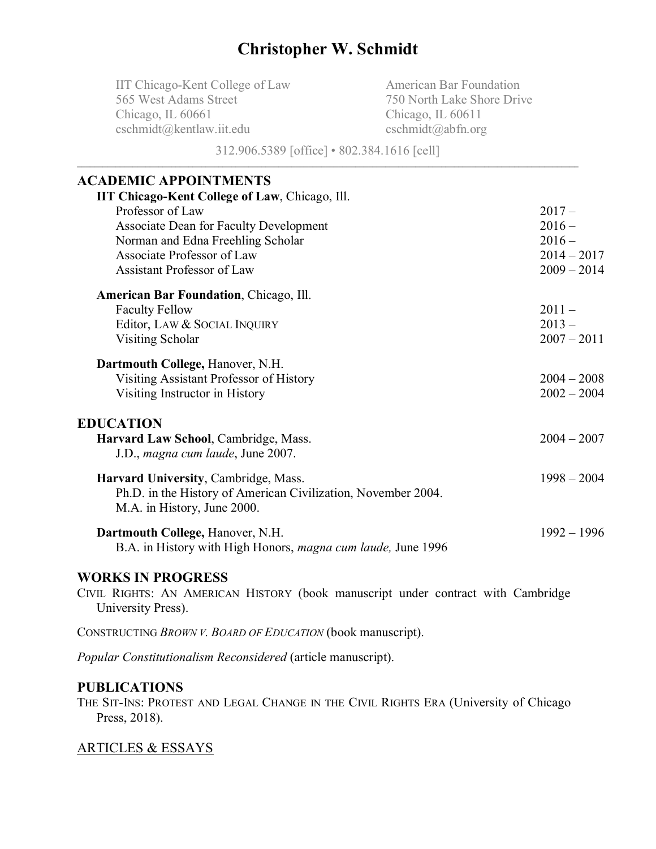# **Christopher W. Schmidt**

IIT Chicago-Kent College of Law 565 West Adams Street Chicago, IL 60661 cschmidt@kentlaw.iit.edu

American Bar Foundation 750 North Lake Shore Drive Chicago, IL 60611 cschmidt@abfn.org

312.906.5389 [office] • 802.384.1616 [cell]

# **ACADEMIC APPOINTMENTS**

| <b>IIT Chicago-Kent College of Law, Chicago, Ill.</b>         |               |
|---------------------------------------------------------------|---------------|
| Professor of Law                                              | $2017 -$      |
| <b>Associate Dean for Faculty Development</b>                 | $2016 -$      |
| Norman and Edna Freehling Scholar                             | $2016 -$      |
| Associate Professor of Law                                    | $2014 - 2017$ |
| Assistant Professor of Law                                    | $2009 - 2014$ |
| <b>American Bar Foundation, Chicago, Ill.</b>                 |               |
| <b>Faculty Fellow</b>                                         | $2011 -$      |
| Editor, LAW & SOCIAL INQUIRY                                  | $2013 -$      |
| <b>Visiting Scholar</b>                                       | $2007 - 2011$ |
| Dartmouth College, Hanover, N.H.                              |               |
| Visiting Assistant Professor of History                       | $2004 - 2008$ |
| Visiting Instructor in History                                | $2002 - 2004$ |
| <b>EDUCATION</b>                                              |               |
| Harvard Law School, Cambridge, Mass.                          | $2004 - 2007$ |
| J.D., magna cum laude, June 2007.                             |               |
| Harvard University, Cambridge, Mass.                          | $1998 - 2004$ |
| Ph.D. in the History of American Civilization, November 2004. |               |
| M.A. in History, June 2000.                                   |               |
| Dartmouth College, Hanover, N.H.                              | $1992 - 1996$ |
| B.A. in History with High Honors, magna cum laude, June 1996  |               |
|                                                               |               |

# **WORKS IN PROGRESS**

CIVIL RIGHTS: AN AMERICAN HISTORY (book manuscript under contract with Cambridge University Press).

CONSTRUCTING *BROWN V. BOARD OF EDUCATION* (book manuscript).

*Popular Constitutionalism Reconsidered* (article manuscript).

# **PUBLICATIONS**

THE SIT-INS: PROTEST AND LEGAL CHANGE IN THE CIVIL RIGHTS ERA (University of Chicago Press, 2018).

# ARTICLES & ESSAYS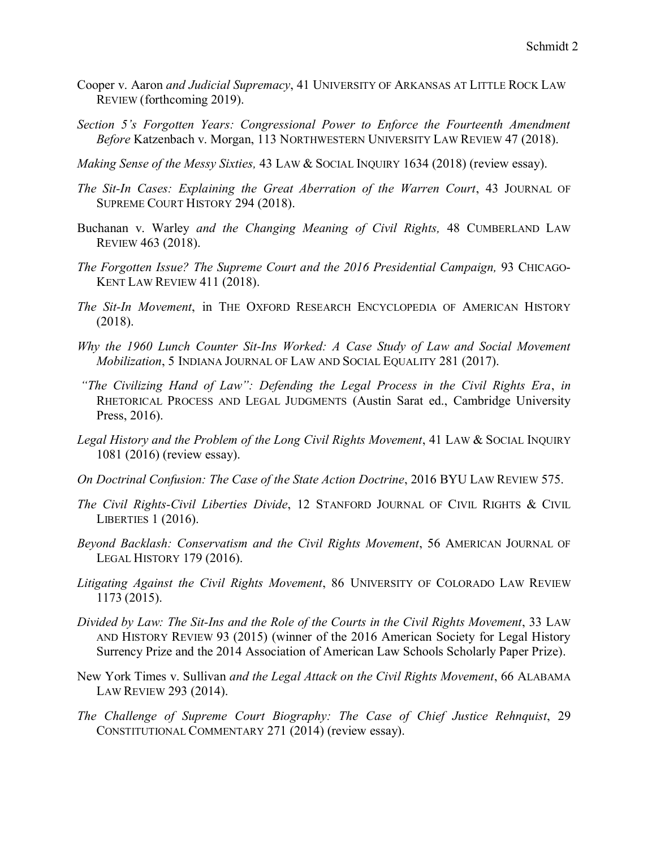- Cooper v. Aaron *and Judicial Supremacy*, 41 UNIVERSITY OF ARKANSAS AT LITTLE ROCK LAW REVIEW (forthcoming 2019).
- *Section 5's Forgotten Years: Congressional Power to Enforce the Fourteenth Amendment Before* Katzenbach v. Morgan, 113 NORTHWESTERN UNIVERSITY LAW REVIEW 47 (2018).
- *Making Sense of the Messy Sixties,* 43 LAW & SOCIAL INQUIRY 1634 (2018) (review essay).
- *The Sit-In Cases: Explaining the Great Aberration of the Warren Court*, 43 JOURNAL OF SUPREME COURT HISTORY 294 (2018).
- Buchanan v. Warley *and the Changing Meaning of Civil Rights,* 48 CUMBERLAND LAW REVIEW 463 (2018).
- *The Forgotten Issue? The Supreme Court and the 2016 Presidential Campaign,* 93 CHICAGO-KENT LAW REVIEW 411 (2018).
- *The Sit-In Movement*, in THE OXFORD RESEARCH ENCYCLOPEDIA OF AMERICAN HISTORY (2018).
- *Why the 1960 Lunch Counter Sit-Ins Worked: A Case Study of Law and Social Movement Mobilization*, 5 INDIANA JOURNAL OF LAW AND SOCIAL EQUALITY 281 (2017).
- *"The Civilizing Hand of Law": Defending the Legal Process in the Civil Rights Era*, *in* RHETORICAL PROCESS AND LEGAL JUDGMENTS (Austin Sarat ed., Cambridge University Press, 2016).
- *Legal History and the Problem of the Long Civil Rights Movement*, 41 LAW & SOCIAL INQUIRY 1081 (2016) (review essay).
- *On Doctrinal Confusion: The Case of the State Action Doctrine*, 2016 BYU LAW REVIEW 575.
- *The Civil Rights-Civil Liberties Divide*, 12 STANFORD JOURNAL OF CIVIL RIGHTS & CIVIL LIBERTIES 1 (2016).
- *Beyond Backlash: Conservatism and the Civil Rights Movement*, 56 AMERICAN JOURNAL OF LEGAL HISTORY 179 (2016).
- *Litigating Against the Civil Rights Movement*, 86 UNIVERSITY OF COLORADO LAW REVIEW 1173 (2015).
- *Divided by Law: The Sit-Ins and the Role of the Courts in the Civil Rights Movement*, 33 LAW AND HISTORY REVIEW 93 (2015) (winner of the 2016 American Society for Legal History Surrency Prize and the 2014 Association of American Law Schools Scholarly Paper Prize).
- New York Times v. Sullivan *and the Legal Attack on the Civil Rights Movement*, 66 ALABAMA LAW REVIEW 293 (2014).
- *The Challenge of Supreme Court Biography: The Case of Chief Justice Rehnquist*, 29 CONSTITUTIONAL COMMENTARY 271 (2014) (review essay).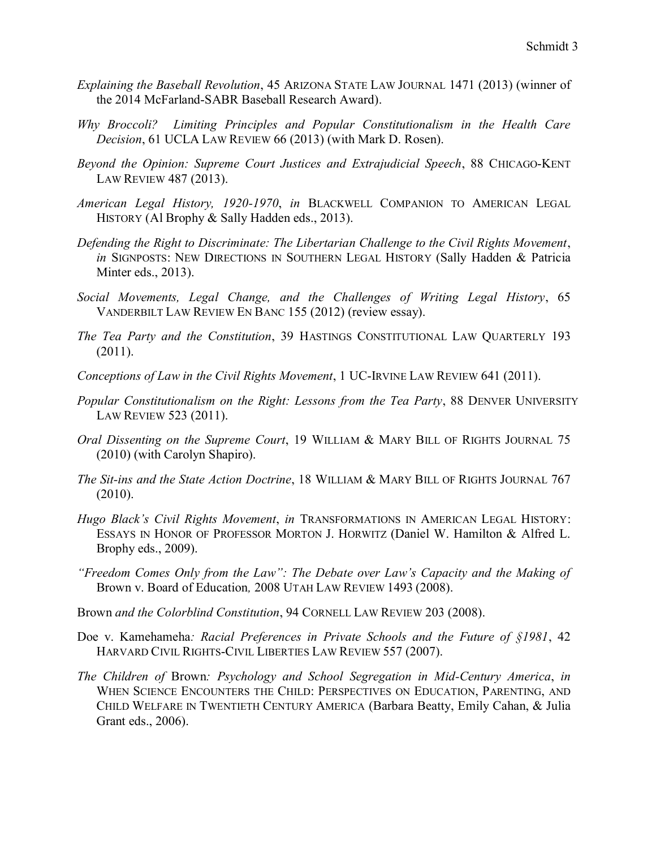- *Explaining the Baseball Revolution*, 45 ARIZONA STATE LAW JOURNAL 1471 (2013) (winner of the 2014 McFarland-SABR Baseball Research Award).
- *Why Broccoli? Limiting Principles and Popular Constitutionalism in the Health Care Decision*, 61 UCLA LAW REVIEW 66 (2013) (with Mark D. Rosen).
- *Beyond the Opinion: Supreme Court Justices and Extrajudicial Speech*, 88 CHICAGO-KENT LAW REVIEW 487 (2013).
- *American Legal History, 1920-1970*, *in* BLACKWELL COMPANION TO AMERICAN LEGAL HISTORY (Al Brophy & Sally Hadden eds., 2013).
- *Defending the Right to Discriminate: The Libertarian Challenge to the Civil Rights Movement*, *in* SIGNPOSTS: NEW DIRECTIONS IN SOUTHERN LEGAL HISTORY (Sally Hadden & Patricia Minter eds., 2013).
- *Social Movements, Legal Change, and the Challenges of Writing Legal History*, 65 VANDERBILT LAW REVIEW EN BANC 155 (2012) (review essay).
- *The Tea Party and the Constitution*, 39 HASTINGS CONSTITUTIONAL LAW QUARTERLY 193 (2011).
- *Conceptions of Law in the Civil Rights Movement*, 1 UC-IRVINE LAW REVIEW 641 (2011).
- *Popular Constitutionalism on the Right: Lessons from the Tea Party*, 88 DENVER UNIVERSITY LAW REVIEW 523 (2011).
- *Oral Dissenting on the Supreme Court*, 19 WILLIAM & MARY BILL OF RIGHTS JOURNAL 75 (2010) (with Carolyn Shapiro).
- *The Sit-ins and the State Action Doctrine*, 18 WILLIAM & MARY BILL OF RIGHTS JOURNAL 767 (2010).
- *Hugo Black's Civil Rights Movement*, *in* TRANSFORMATIONS IN AMERICAN LEGAL HISTORY: ESSAYS IN HONOR OF PROFESSOR MORTON J. HORWITZ (Daniel W. Hamilton & Alfred L. Brophy eds., 2009).
- *"Freedom Comes Only from the Law": The Debate over Law's Capacity and the Making of*  Brown v. Board of Education*,* 2008 UTAH LAW REVIEW 1493 (2008).
- Brown *and the Colorblind Constitution*, 94 CORNELL LAW REVIEW 203 (2008).
- Doe v. Kamehameha*: Racial Preferences in Private Schools and the Future of §1981*, 42 HARVARD CIVIL RIGHTS-CIVIL LIBERTIES LAW REVIEW 557 (2007).
- *The Children of* Brown*: Psychology and School Segregation in Mid-Century America*, *in*  WHEN SCIENCE ENCOUNTERS THE CHILD: PERSPECTIVES ON EDUCATION, PARENTING, AND CHILD WELFARE IN TWENTIETH CENTURY AMERICA (Barbara Beatty, Emily Cahan, & Julia Grant eds., 2006).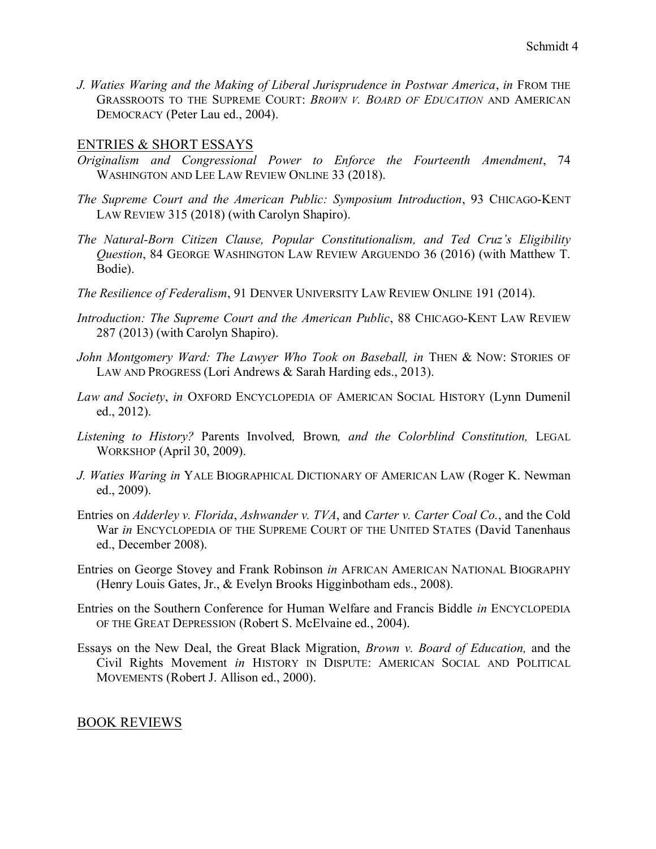*J. Waties Waring and the Making of Liberal Jurisprudence in Postwar America*, *in* FROM THE GRASSROOTS TO THE SUPREME COURT: *BROWN V. BOARD OF EDUCATION* AND AMERICAN DEMOCRACY (Peter Lau ed., 2004).

### ENTRIES & SHORT ESSAYS

- *Originalism and Congressional Power to Enforce the Fourteenth Amendment*, 74 WASHINGTON AND LEE LAW REVIEW ONLINE 33 (2018).
- *The Supreme Court and the American Public: Symposium Introduction*, 93 CHICAGO-KENT LAW REVIEW 315 (2018) (with Carolyn Shapiro).
- *The Natural-Born Citizen Clause, Popular Constitutionalism, and Ted Cruz's Eligibility Question*, 84 GEORGE WASHINGTON LAW REVIEW ARGUENDO 36 (2016) (with Matthew T. Bodie).
- *The Resilience of Federalism*, 91 DENVER UNIVERSITY LAW REVIEW ONLINE 191 (2014).
- *Introduction: The Supreme Court and the American Public*, 88 CHICAGO-KENT LAW REVIEW 287 (2013) (with Carolyn Shapiro).
- *John Montgomery Ward: The Lawyer Who Took on Baseball, in THEN & NOW: STORIES OF* LAW AND PROGRESS (Lori Andrews & Sarah Harding eds., 2013).
- *Law and Society*, *in* OXFORD ENCYCLOPEDIA OF AMERICAN SOCIAL HISTORY (Lynn Dumenil ed., 2012).
- *Listening to History?* Parents Involved*,* Brown*, and the Colorblind Constitution,* LEGAL WORKSHOP (April 30, 2009).
- *J. Waties Waring in* YALE BIOGRAPHICAL DICTIONARY OF AMERICAN LAW (Roger K. Newman ed., 2009).
- Entries on *Adderley v. Florida*, *Ashwander v. TVA*, and *Carter v. Carter Coal Co.*, and the Cold War *in* ENCYCLOPEDIA OF THE SUPREME COURT OF THE UNITED STATES (David Tanenhaus ed., December 2008).
- Entries on George Stovey and Frank Robinson *in* AFRICAN AMERICAN NATIONAL BIOGRAPHY (Henry Louis Gates, Jr., & Evelyn Brooks Higginbotham eds., 2008).
- Entries on the Southern Conference for Human Welfare and Francis Biddle *in* ENCYCLOPEDIA OF THE GREAT DEPRESSION (Robert S. McElvaine ed., 2004).
- Essays on the New Deal, the Great Black Migration, *Brown v. Board of Education,* and the Civil Rights Movement *in* HISTORY IN DISPUTE: AMERICAN SOCIAL AND POLITICAL MOVEMENTS (Robert J. Allison ed., 2000).

# BOOK REVIEWS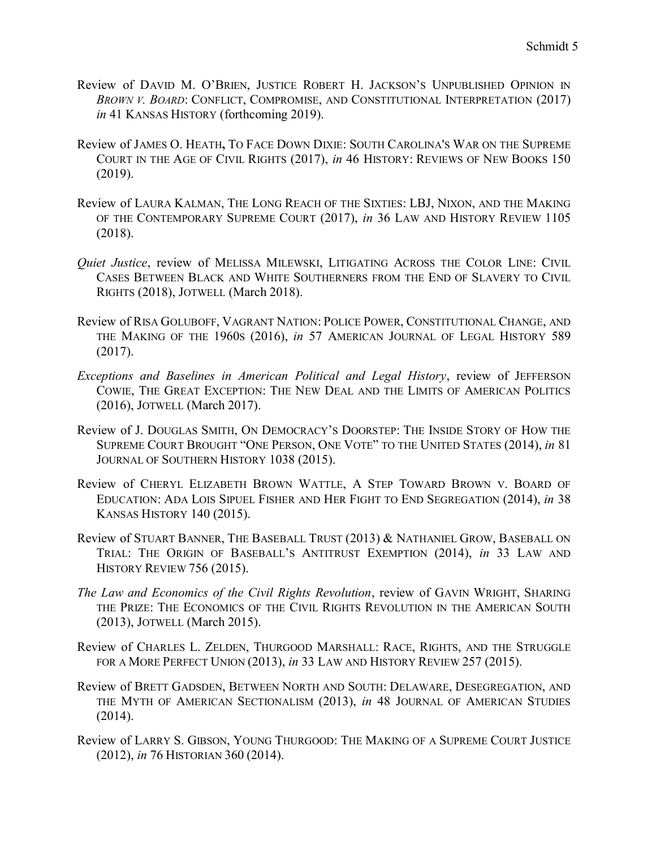- Review of DAVID M. O'BRIEN, JUSTICE ROBERT H. JACKSON'S UNPUBLISHED OPINION IN *BROWN V. BOARD*: CONFLICT, COMPROMISE, AND CONSTITUTIONAL INTERPRETATION (2017) *in* 41 KANSAS HISTORY (forthcoming 2019).
- Review of JAMES O. HEATH**,** TO FACE DOWN DIXIE: SOUTH CAROLINA'S WAR ON THE SUPREME COURT IN THE AGE OF CIVIL RIGHTS (2017), *in* 46 HISTORY: REVIEWS OF NEW BOOKS 150 (2019).
- Review of LAURA KALMAN, THE LONG REACH OF THE SIXTIES: LBJ, NIXON, AND THE MAKING OF THE CONTEMPORARY SUPREME COURT (2017), *in* 36 LAW AND HISTORY REVIEW 1105 (2018).
- *Quiet Justice*, review of MELISSA MILEWSKI, LITIGATING ACROSS THE COLOR LINE: CIVIL CASES BETWEEN BLACK AND WHITE SOUTHERNERS FROM THE END OF SLAVERY TO CIVIL RIGHTS (2018), JOTWELL (March 2018).
- Review of RISA GOLUBOFF, VAGRANT NATION: POLICE POWER, CONSTITUTIONAL CHANGE, AND THE MAKING OF THE 1960S (2016), *in* 57 AMERICAN JOURNAL OF LEGAL HISTORY 589 (2017).
- *Exceptions and Baselines in American Political and Legal History*, review of JEFFERSON COWIE, THE GREAT EXCEPTION: THE NEW DEAL AND THE LIMITS OF AMERICAN POLITICS (2016), JOTWELL (March 2017).
- Review of J. DOUGLAS SMITH, ON DEMOCRACY'S DOORSTEP: THE INSIDE STORY OF HOW THE SUPREME COURT BROUGHT "ONE PERSON, ONE VOTE" TO THE UNITED STATES (2014), *in* 81 JOURNAL OF SOUTHERN HISTORY 1038 (2015).
- Review of CHERYL ELIZABETH BROWN WATTLE, A STEP TOWARD BROWN V. BOARD OF EDUCATION: ADA LOIS SIPUEL FISHER AND HER FIGHT TO END SEGREGATION (2014), *in* 38 KANSAS HISTORY 140 (2015).
- Review of STUART BANNER, THE BASEBALL TRUST (2013) & NATHANIEL GROW, BASEBALL ON TRIAL: THE ORIGIN OF BASEBALL'S ANTITRUST EXEMPTION (2014), *in* 33 LAW AND HISTORY REVIEW 756 (2015).
- *The Law and Economics of the Civil Rights Revolution*, review of GAVIN WRIGHT, SHARING THE PRIZE: THE ECONOMICS OF THE CIVIL RIGHTS REVOLUTION IN THE AMERICAN SOUTH (2013), JOTWELL (March 2015).
- Review of CHARLES L. ZELDEN, THURGOOD MARSHALL: RACE, RIGHTS, AND THE STRUGGLE FOR A MORE PERFECT UNION (2013), *in* 33 LAW AND HISTORY REVIEW 257 (2015).
- Review of BRETT GADSDEN, BETWEEN NORTH AND SOUTH: DELAWARE, DESEGREGATION, AND THE MYTH OF AMERICAN SECTIONALISM (2013), *in* 48 JOURNAL OF AMERICAN STUDIES (2014).
- Review of LARRY S. GIBSON, YOUNG THURGOOD: THE MAKING OF A SUPREME COURT JUSTICE (2012), *in* 76 HISTORIAN 360 (2014).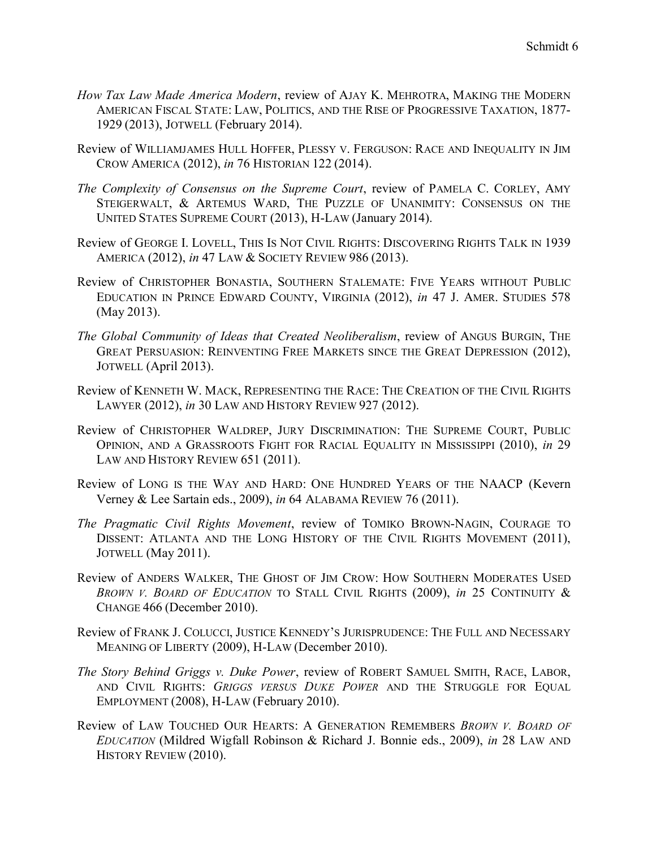- *How Tax Law Made America Modern*, review of AJAY K. MEHROTRA, MAKING THE MODERN AMERICAN FISCAL STATE: LAW, POLITICS, AND THE RISE OF PROGRESSIVE TAXATION, 1877- 1929 (2013), JOTWELL (February 2014).
- Review of WILLIAMJAMES HULL HOFFER, PLESSY V. FERGUSON: RACE AND INEQUALITY IN JIM CROW AMERICA (2012), *in* 76 HISTORIAN 122 (2014).
- *The Complexity of Consensus on the Supreme Court*, review of PAMELA C. CORLEY, AMY STEIGERWALT, & ARTEMUS WARD, THE PUZZLE OF UNANIMITY: CONSENSUS ON THE UNITED STATES SUPREME COURT (2013), H-LAW (January 2014).
- Review of GEORGE I. LOVELL, THIS IS NOT CIVIL RIGHTS: DISCOVERING RIGHTS TALK IN 1939 AMERICA (2012), *in* 47 LAW & SOCIETY REVIEW 986 (2013).
- Review of CHRISTOPHER BONASTIA, SOUTHERN STALEMATE: FIVE YEARS WITHOUT PUBLIC EDUCATION IN PRINCE EDWARD COUNTY, VIRGINIA (2012), *in* 47 J. AMER. STUDIES 578 (May 2013).
- *The Global Community of Ideas that Created Neoliberalism*, review of ANGUS BURGIN, THE GREAT PERSUASION: REINVENTING FREE MARKETS SINCE THE GREAT DEPRESSION (2012), JOTWELL (April 2013).
- Review of KENNETH W. MACK, REPRESENTING THE RACE: THE CREATION OF THE CIVIL RIGHTS LAWYER (2012), *in* 30 LAW AND HISTORY REVIEW 927 (2012).
- Review of CHRISTOPHER WALDREP, JURY DISCRIMINATION: THE SUPREME COURT, PUBLIC OPINION, AND A GRASSROOTS FIGHT FOR RACIAL EQUALITY IN MISSISSIPPI (2010), *in* 29 LAW AND HISTORY REVIEW 651 (2011).
- Review of LONG IS THE WAY AND HARD: ONE HUNDRED YEARS OF THE NAACP (Kevern Verney & Lee Sartain eds., 2009), *in* 64 ALABAMA REVIEW 76 (2011).
- *The Pragmatic Civil Rights Movement*, review of TOMIKO BROWN-NAGIN, COURAGE TO DISSENT: ATLANTA AND THE LONG HISTORY OF THE CIVIL RIGHTS MOVEMENT (2011), JOTWELL (May 2011).
- Review of ANDERS WALKER, THE GHOST OF JIM CROW: HOW SOUTHERN MODERATES USED *BROWN V. BOARD OF EDUCATION* TO STALL CIVIL RIGHTS (2009), *in* 25 CONTINUITY & CHANGE 466 (December 2010).
- Review of FRANK J. COLUCCI, JUSTICE KENNEDY'S JURISPRUDENCE: THE FULL AND NECESSARY MEANING OF LIBERTY (2009), H-LAW (December 2010).
- *The Story Behind Griggs v. Duke Power*, review of ROBERT SAMUEL SMITH, RACE, LABOR, AND CIVIL RIGHTS: *GRIGGS VERSUS DUKE POWER* AND THE STRUGGLE FOR EQUAL EMPLOYMENT (2008), H-LAW (February 2010).
- Review of LAW TOUCHED OUR HEARTS: A GENERATION REMEMBERS *BROWN V. BOARD OF EDUCATION* (Mildred Wigfall Robinson & Richard J. Bonnie eds., 2009), *in* 28 LAW AND HISTORY REVIEW (2010).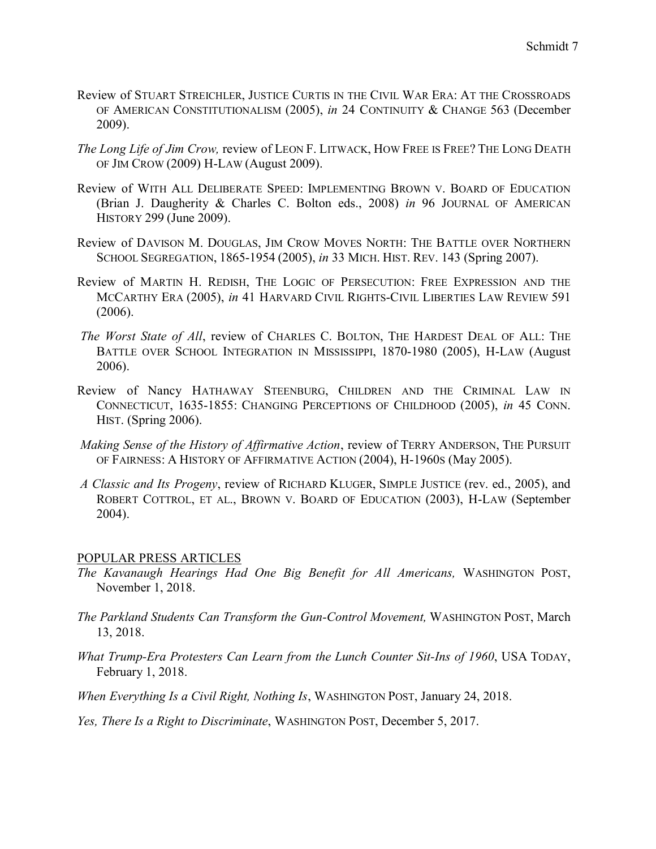- Review of STUART STREICHLER, JUSTICE CURTIS IN THE CIVIL WAR ERA: AT THE CROSSROADS OF AMERICAN CONSTITUTIONALISM (2005), *in* 24 CONTINUITY & CHANGE 563 (December 2009).
- *The Long Life of Jim Crow,* review of LEON F. LITWACK, HOW FREE IS FREE? THE LONG DEATH OF JIM CROW (2009) H-LAW (August 2009).
- Review of WITH ALL DELIBERATE SPEED: IMPLEMENTING BROWN V. BOARD OF EDUCATION (Brian J. Daugherity & Charles C. Bolton eds., 2008) *in* 96 JOURNAL OF AMERICAN HISTORY 299 (June 2009).
- Review of DAVISON M. DOUGLAS, JIM CROW MOVES NORTH: THE BATTLE OVER NORTHERN SCHOOL SEGREGATION, 1865-1954 (2005), *in* 33 MICH. HIST. REV. 143 (Spring 2007).
- Review of MARTIN H. REDISH, THE LOGIC OF PERSECUTION: FREE EXPRESSION AND THE MCCARTHY ERA (2005), *in* 41 HARVARD CIVIL RIGHTS-CIVIL LIBERTIES LAW REVIEW 591 (2006).
- *The Worst State of All*, review of CHARLES C. BOLTON, THE HARDEST DEAL OF ALL: THE BATTLE OVER SCHOOL INTEGRATION IN MISSISSIPPI, 1870-1980 (2005), H-LAW (August 2006).
- Review of Nancy HATHAWAY STEENBURG, CHILDREN AND THE CRIMINAL LAW IN CONNECTICUT, 1635-1855: CHANGING PERCEPTIONS OF CHILDHOOD (2005), *in* 45 CONN. HIST. (Spring 2006).
- *Making Sense of the History of Affirmative Action*, review of TERRY ANDERSON, THE PURSUIT OF FAIRNESS: A HISTORY OF AFFIRMATIVE ACTION (2004), H-1960S (May 2005).
- *A Classic and Its Progeny*, review of RICHARD KLUGER, SIMPLE JUSTICE (rev. ed., 2005), and ROBERT COTTROL, ET AL., BROWN V. BOARD OF EDUCATION (2003), H-LAW (September 2004).

#### POPULAR PRESS ARTICLES

- *The Kavanaugh Hearings Had One Big Benefit for All Americans,* WASHINGTON POST, November 1, 2018.
- *The Parkland Students Can Transform the Gun-Control Movement,* WASHINGTON POST, March 13, 2018.
- *What Trump-Era Protesters Can Learn from the Lunch Counter Sit-Ins of 1960*, USA TODAY, February 1, 2018.
- *When Everything Is a Civil Right, Nothing Is*, WASHINGTON POST, January 24, 2018.
- *Yes, There Is a Right to Discriminate*, WASHINGTON POST, December 5, 2017.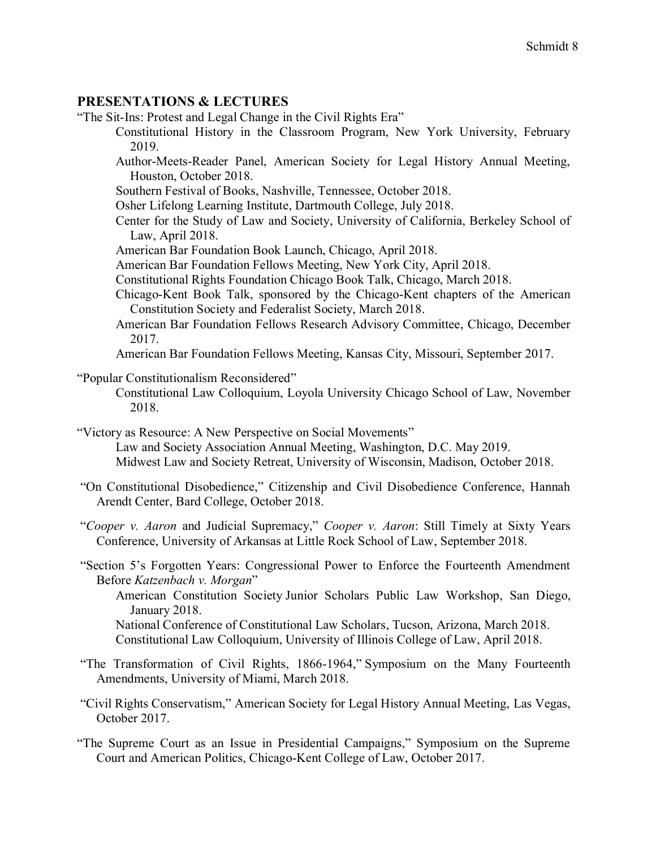# **PRESENTATIONS & LECTURES**

"The Sit-Ins: Protest and Legal Change in the Civil Rights Era"

- Constitutional History in the Classroom Program, New York University, February 2019.
- Author-Meets-Reader Panel, American Society for Legal History Annual Meeting, Houston, October 2018.
- Southern Festival of Books, Nashville, Tennessee, October 2018.
- Osher Lifelong Learning Institute, Dartmouth College, July 2018.
- Center for the Study of Law and Society, University of California, Berkeley School of Law, April 2018.
- American Bar Foundation Book Launch, Chicago, April 2018.
- American Bar Foundation Fellows Meeting, New York City, April 2018.
- Constitutional Rights Foundation Chicago Book Talk, Chicago, March 2018.
- Chicago-Kent Book Talk, sponsored by the Chicago-Kent chapters of the American Constitution Society and Federalist Society, March 2018.
- American Bar Foundation Fellows Research Advisory Committee, Chicago, December 2017.

American Bar Foundation Fellows Meeting, Kansas City, Missouri, September 2017.

"Popular Constitutionalism Reconsidered"

- Constitutional Law Colloquium, Loyola University Chicago School of Law, November 2018.
- "Victory as Resource: A New Perspective on Social Movements" Law and Society Association Annual Meeting, Washington, D.C. May 2019.
	- Midwest Law and Society Retreat, University of Wisconsin, Madison, October 2018.
- "On Constitutional Disobedience," Citizenship and Civil Disobedience Conference, Hannah Arendt Center, Bard College, October 2018.
- "*Cooper v. Aaron* and Judicial Supremacy," *Cooper v. Aaron*: Still Timely at Sixty Years Conference, University of Arkansas at Little Rock School of Law, September 2018.
- "Section 5's Forgotten Years: Congressional Power to Enforce the Fourteenth Amendment Before *Katzenbach v. Morgan*"

American Constitution Society Junior Scholars Public Law Workshop, San Diego, January 2018. National Conference of Constitutional Law Scholars, Tucson, Arizona, March 2018.

Constitutional Law Colloquium, University of Illinois College of Law, April 2018.

- "The Transformation of Civil Rights, 1866-1964," Symposium on the Many Fourteenth Amendments, University of Miami, March 2018.
- "Civil Rights Conservatism," American Society for Legal History Annual Meeting, Las Vegas, October 2017.
- "The Supreme Court as an Issue in Presidential Campaigns," Symposium on the Supreme Court and American Politics, Chicago-Kent College of Law, October 2017.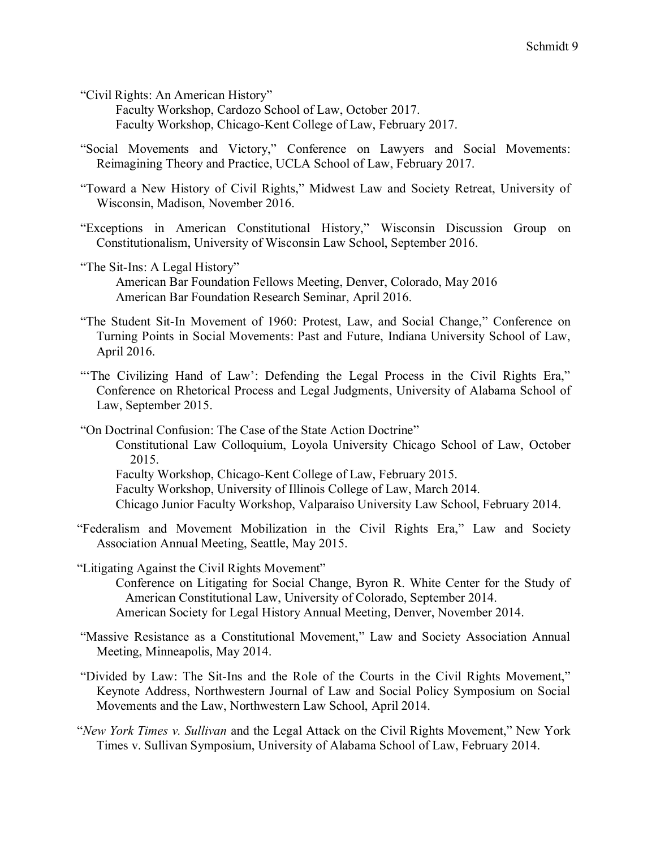"Civil Rights: An American History"

Faculty Workshop, Cardozo School of Law, October 2017. Faculty Workshop, Chicago-Kent College of Law, February 2017.

"Social Movements and Victory," Conference on Lawyers and Social Movements: Reimagining Theory and Practice, UCLA School of Law, February 2017.

"Toward a New History of Civil Rights," Midwest Law and Society Retreat, University of Wisconsin, Madison, November 2016.

- "Exceptions in American Constitutional History," Wisconsin Discussion Group on Constitutionalism, University of Wisconsin Law School, September 2016.
- "The Sit-Ins: A Legal History" American Bar Foundation Fellows Meeting, Denver, Colorado, May 2016 American Bar Foundation Research Seminar, April 2016.
- "The Student Sit-In Movement of 1960: Protest, Law, and Social Change," Conference on Turning Points in Social Movements: Past and Future, Indiana University School of Law, April 2016.
- "The Civilizing Hand of Law': Defending the Legal Process in the Civil Rights Era," Conference on Rhetorical Process and Legal Judgments, University of Alabama School of Law, September 2015.

"On Doctrinal Confusion: The Case of the State Action Doctrine" Constitutional Law Colloquium, Loyola University Chicago School of Law, October 2015. Faculty Workshop, Chicago-Kent College of Law, February 2015. Faculty Workshop, University of Illinois College of Law, March 2014. Chicago Junior Faculty Workshop, Valparaiso University Law School, February 2014.

- "Federalism and Movement Mobilization in the Civil Rights Era," Law and Society Association Annual Meeting, Seattle, May 2015.
- "Litigating Against the Civil Rights Movement"
	- Conference on Litigating for Social Change, Byron R. White Center for the Study of American Constitutional Law, University of Colorado, September 2014. American Society for Legal History Annual Meeting, Denver, November 2014.
- "Massive Resistance as a Constitutional Movement," Law and Society Association Annual Meeting, Minneapolis, May 2014.
- "Divided by Law: The Sit-Ins and the Role of the Courts in the Civil Rights Movement," Keynote Address, Northwestern Journal of Law and Social Policy Symposium on Social Movements and the Law, Northwestern Law School, April 2014.
- "*New York Times v. Sullivan* and the Legal Attack on the Civil Rights Movement," New York Times v. Sullivan Symposium, University of Alabama School of Law, February 2014.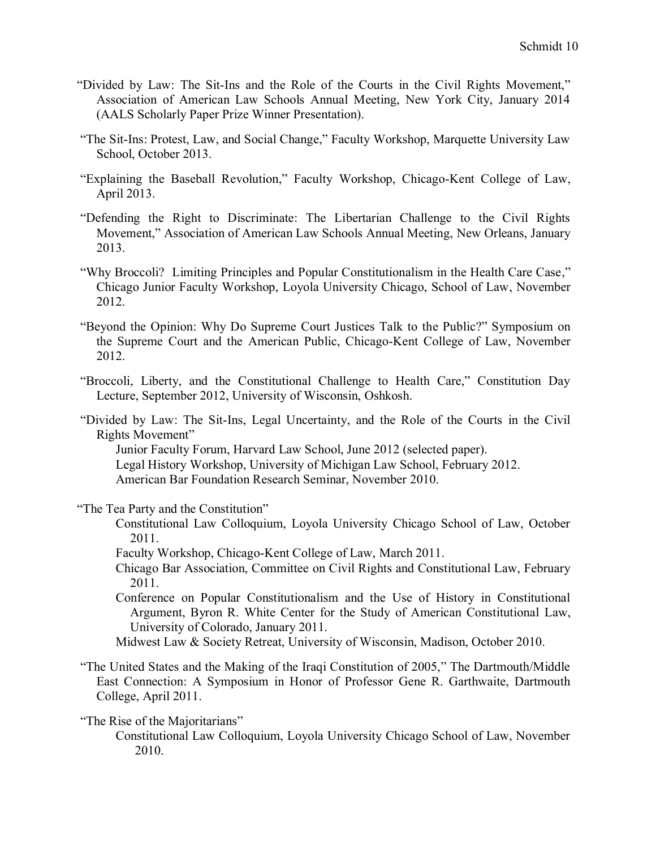- "Divided by Law: The Sit-Ins and the Role of the Courts in the Civil Rights Movement," Association of American Law Schools Annual Meeting, New York City, January 2014 (AALS Scholarly Paper Prize Winner Presentation).
- "The Sit-Ins: Protest, Law, and Social Change," Faculty Workshop, Marquette University Law School, October 2013.
- "Explaining the Baseball Revolution," Faculty Workshop, Chicago-Kent College of Law, April 2013.
- "Defending the Right to Discriminate: The Libertarian Challenge to the Civil Rights Movement," Association of American Law Schools Annual Meeting, New Orleans, January 2013.
- "Why Broccoli? Limiting Principles and Popular Constitutionalism in the Health Care Case," Chicago Junior Faculty Workshop, Loyola University Chicago, School of Law, November 2012.
- "Beyond the Opinion: Why Do Supreme Court Justices Talk to the Public?" Symposium on the Supreme Court and the American Public, Chicago-Kent College of Law, November 2012.
- "Broccoli, Liberty, and the Constitutional Challenge to Health Care," Constitution Day Lecture, September 2012, University of Wisconsin, Oshkosh.

"Divided by Law: The Sit-Ins, Legal Uncertainty, and the Role of the Courts in the Civil Rights Movement" Junior Faculty Forum, Harvard Law School, June 2012 (selected paper).

Legal History Workshop, University of Michigan Law School, February 2012.

American Bar Foundation Research Seminar, November 2010.

"The Tea Party and the Constitution"

Constitutional Law Colloquium, Loyola University Chicago School of Law, October 2011.

Faculty Workshop, Chicago-Kent College of Law, March 2011.

- Chicago Bar Association, Committee on Civil Rights and Constitutional Law, February 2011.
- Conference on Popular Constitutionalism and the Use of History in Constitutional Argument, Byron R. White Center for the Study of American Constitutional Law, University of Colorado, January 2011.

Midwest Law & Society Retreat, University of Wisconsin, Madison, October 2010.

"The United States and the Making of the Iraqi Constitution of 2005," The Dartmouth/Middle East Connection: A Symposium in Honor of Professor Gene R. Garthwaite, Dartmouth College, April 2011.

"The Rise of the Majoritarians"

Constitutional Law Colloquium, Loyola University Chicago School of Law, November 2010.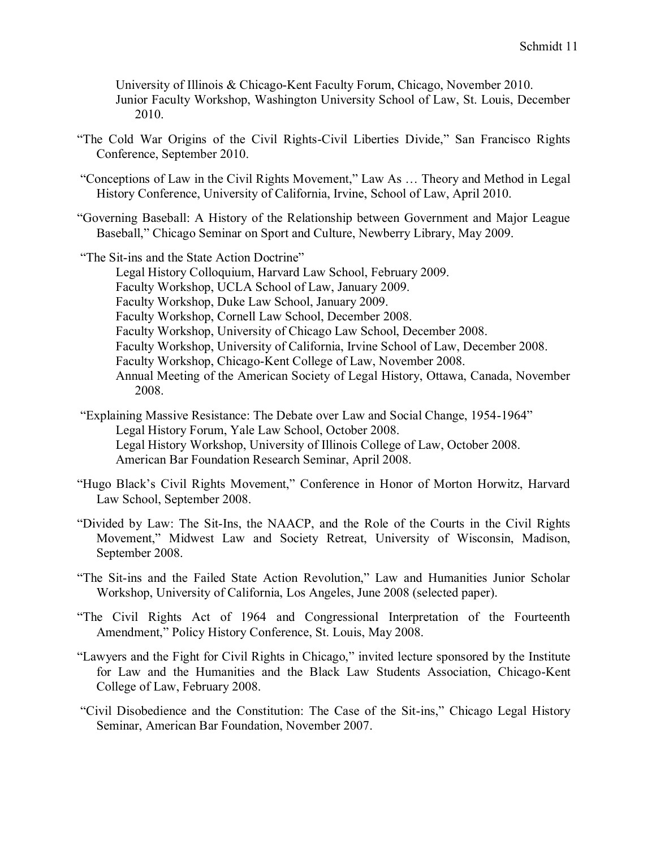University of Illinois & Chicago-Kent Faculty Forum, Chicago, November 2010. Junior Faculty Workshop, Washington University School of Law, St. Louis, December 2010.

- "The Cold War Origins of the Civil Rights-Civil Liberties Divide," San Francisco Rights Conference, September 2010.
- "Conceptions of Law in the Civil Rights Movement," Law As … Theory and Method in Legal History Conference, University of California, Irvine, School of Law, April 2010.
- "Governing Baseball: A History of the Relationship between Government and Major League Baseball," Chicago Seminar on Sport and Culture, Newberry Library, May 2009.
- "The Sit-ins and the State Action Doctrine"

Legal History Colloquium, Harvard Law School, February 2009. Faculty Workshop, UCLA School of Law, January 2009. Faculty Workshop, Duke Law School, January 2009. Faculty Workshop, Cornell Law School, December 2008. Faculty Workshop, University of Chicago Law School, December 2008. Faculty Workshop, University of California, Irvine School of Law, December 2008. Faculty Workshop, Chicago-Kent College of Law, November 2008. Annual Meeting of the American Society of Legal History, Ottawa, Canada, November 2008.

- "Explaining Massive Resistance: The Debate over Law and Social Change, 1954-1964" Legal History Forum, Yale Law School, October 2008. Legal History Workshop, University of Illinois College of Law, October 2008. American Bar Foundation Research Seminar, April 2008.
- "Hugo Black's Civil Rights Movement," Conference in Honor of Morton Horwitz, Harvard Law School, September 2008.
- "Divided by Law: The Sit-Ins, the NAACP, and the Role of the Courts in the Civil Rights Movement," Midwest Law and Society Retreat, University of Wisconsin, Madison, September 2008.
- "The Sit-ins and the Failed State Action Revolution," Law and Humanities Junior Scholar Workshop, University of California, Los Angeles, June 2008 (selected paper).
- "The Civil Rights Act of 1964 and Congressional Interpretation of the Fourteenth Amendment," Policy History Conference, St. Louis, May 2008.
- "Lawyers and the Fight for Civil Rights in Chicago," invited lecture sponsored by the Institute for Law and the Humanities and the Black Law Students Association, Chicago-Kent College of Law, February 2008.
- "Civil Disobedience and the Constitution: The Case of the Sit-ins," Chicago Legal History Seminar, American Bar Foundation, November 2007.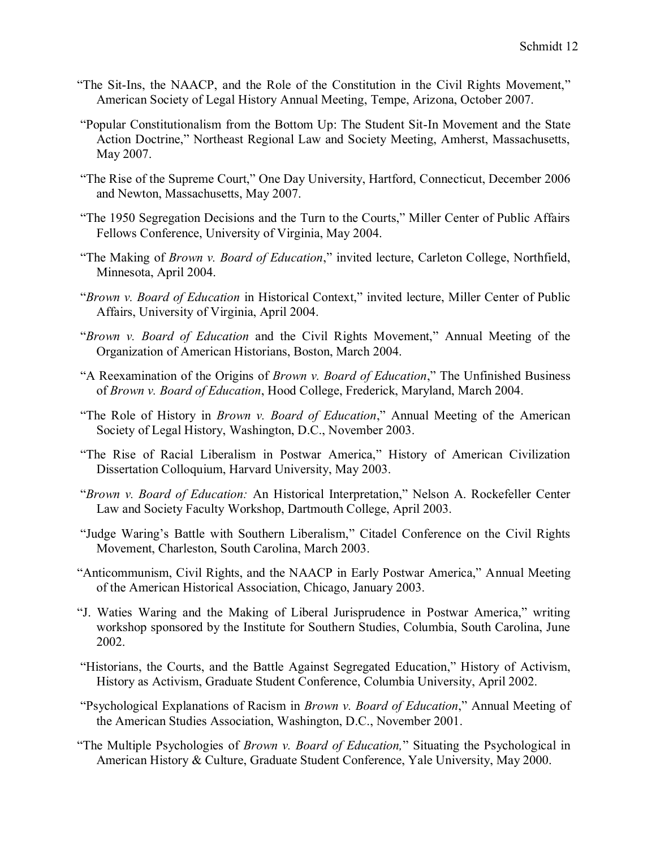- "The Sit-Ins, the NAACP, and the Role of the Constitution in the Civil Rights Movement," American Society of Legal History Annual Meeting, Tempe, Arizona, October 2007.
- "Popular Constitutionalism from the Bottom Up: The Student Sit-In Movement and the State Action Doctrine," Northeast Regional Law and Society Meeting, Amherst, Massachusetts, May 2007.
- "The Rise of the Supreme Court," One Day University, Hartford, Connecticut, December 2006 and Newton, Massachusetts, May 2007.
- "The 1950 Segregation Decisions and the Turn to the Courts," Miller Center of Public Affairs Fellows Conference, University of Virginia, May 2004.
- "The Making of *Brown v. Board of Education*," invited lecture, Carleton College, Northfield, Minnesota, April 2004.
- "*Brown v. Board of Education* in Historical Context," invited lecture, Miller Center of Public Affairs, University of Virginia, April 2004.
- "*Brown v. Board of Education* and the Civil Rights Movement," Annual Meeting of the Organization of American Historians, Boston, March 2004.
- "A Reexamination of the Origins of *Brown v. Board of Education*," The Unfinished Business of *Brown v. Board of Education*, Hood College, Frederick, Maryland, March 2004.
- "The Role of History in *Brown v. Board of Education*," Annual Meeting of the American Society of Legal History, Washington, D.C., November 2003.
- "The Rise of Racial Liberalism in Postwar America," History of American Civilization Dissertation Colloquium, Harvard University, May 2003.
- "*Brown v. Board of Education:* An Historical Interpretation," Nelson A. Rockefeller Center Law and Society Faculty Workshop, Dartmouth College, April 2003.
- "Judge Waring's Battle with Southern Liberalism," Citadel Conference on the Civil Rights Movement, Charleston, South Carolina, March 2003.
- "Anticommunism, Civil Rights, and the NAACP in Early Postwar America," Annual Meeting of the American Historical Association, Chicago, January 2003.
- "J. Waties Waring and the Making of Liberal Jurisprudence in Postwar America," writing workshop sponsored by the Institute for Southern Studies, Columbia, South Carolina, June 2002.
- "Historians, the Courts, and the Battle Against Segregated Education," History of Activism, History as Activism, Graduate Student Conference, Columbia University, April 2002.
- "Psychological Explanations of Racism in *Brown v. Board of Education*," Annual Meeting of the American Studies Association, Washington, D.C., November 2001.
- "The Multiple Psychologies of *Brown v. Board of Education,*" Situating the Psychological in American History & Culture, Graduate Student Conference, Yale University, May 2000.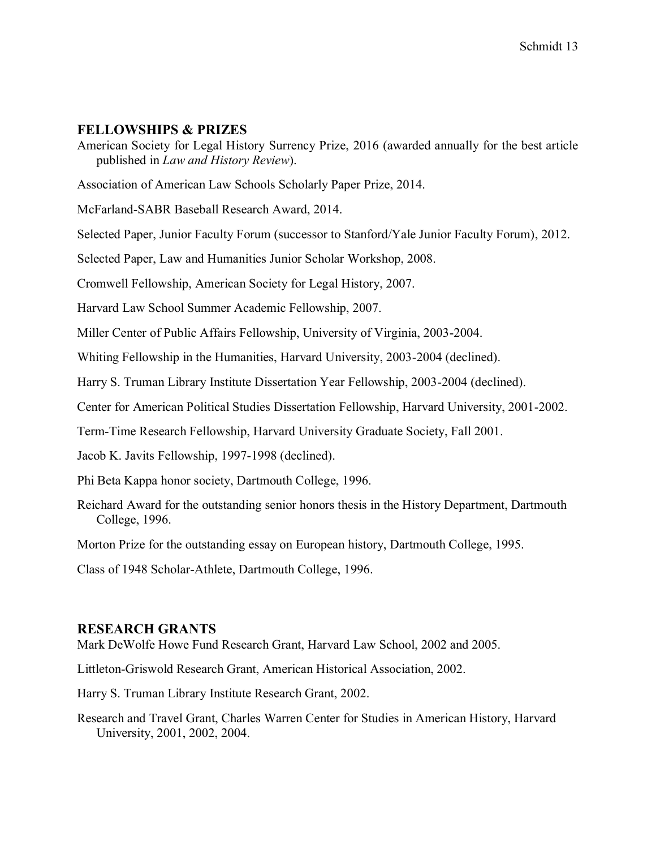### **FELLOWSHIPS & PRIZES**

American Society for Legal History Surrency Prize, 2016 (awarded annually for the best article published in *Law and History Review*).

Association of American Law Schools Scholarly Paper Prize, 2014.

McFarland-SABR Baseball Research Award, 2014.

Selected Paper, Junior Faculty Forum (successor to Stanford/Yale Junior Faculty Forum), 2012.

Selected Paper, Law and Humanities Junior Scholar Workshop, 2008.

Cromwell Fellowship, American Society for Legal History, 2007.

Harvard Law School Summer Academic Fellowship, 2007.

Miller Center of Public Affairs Fellowship, University of Virginia, 2003-2004.

Whiting Fellowship in the Humanities, Harvard University, 2003-2004 (declined).

Harry S. Truman Library Institute Dissertation Year Fellowship, 2003-2004 (declined).

Center for American Political Studies Dissertation Fellowship, Harvard University, 2001-2002.

Term-Time Research Fellowship, Harvard University Graduate Society, Fall 2001.

Jacob K. Javits Fellowship, 1997-1998 (declined).

Phi Beta Kappa honor society, Dartmouth College, 1996.

Reichard Award for the outstanding senior honors thesis in the History Department, Dartmouth College, 1996.

Morton Prize for the outstanding essay on European history, Dartmouth College, 1995.

Class of 1948 Scholar-Athlete, Dartmouth College, 1996.

#### **RESEARCH GRANTS**

Mark DeWolfe Howe Fund Research Grant, Harvard Law School, 2002 and 2005.

Littleton-Griswold Research Grant, American Historical Association, 2002.

Harry S. Truman Library Institute Research Grant, 2002.

Research and Travel Grant, Charles Warren Center for Studies in American History, Harvard University, 2001, 2002, 2004.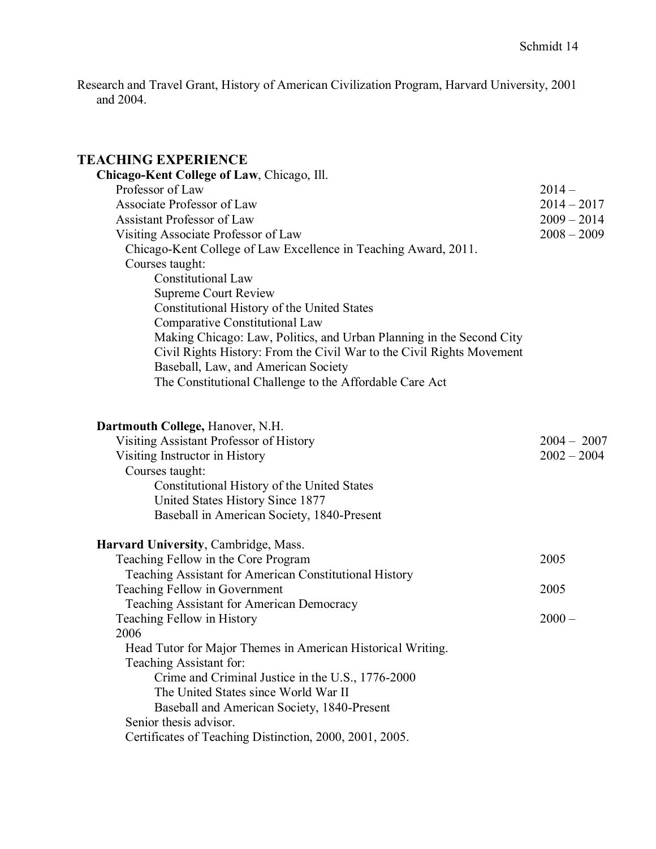Research and Travel Grant, History of American Civilization Program, Harvard University, 2001 and 2004.

# **TEACHING EXPERIENCE**

| Chicago-Kent College of Law, Chicago, Ill.                                                |               |
|-------------------------------------------------------------------------------------------|---------------|
| Professor of Law                                                                          | $2014 -$      |
| Associate Professor of Law                                                                | $2014 - 2017$ |
| <b>Assistant Professor of Law</b>                                                         | $2009 - 2014$ |
| Visiting Associate Professor of Law                                                       | $2008 - 2009$ |
| Chicago-Kent College of Law Excellence in Teaching Award, 2011.                           |               |
| Courses taught:                                                                           |               |
| <b>Constitutional Law</b>                                                                 |               |
| <b>Supreme Court Review</b>                                                               |               |
| Constitutional History of the United States                                               |               |
| Comparative Constitutional Law                                                            |               |
| Making Chicago: Law, Politics, and Urban Planning in the Second City                      |               |
| Civil Rights History: From the Civil War to the Civil Rights Movement                     |               |
| Baseball, Law, and American Society                                                       |               |
| The Constitutional Challenge to the Affordable Care Act                                   |               |
|                                                                                           |               |
| Dartmouth College, Hanover, N.H.                                                          |               |
| Visiting Assistant Professor of History                                                   | $2004 - 2007$ |
| Visiting Instructor in History                                                            | $2002 - 2004$ |
| Courses taught:                                                                           |               |
| Constitutional History of the United States                                               |               |
| United States History Since 1877                                                          |               |
| Baseball in American Society, 1840-Present                                                |               |
|                                                                                           |               |
| Harvard University, Cambridge, Mass.                                                      |               |
| Teaching Fellow in the Core Program                                                       | 2005          |
| Teaching Assistant for American Constitutional History                                    |               |
| Teaching Fellow in Government                                                             | 2005          |
| Teaching Assistant for American Democracy                                                 |               |
| Teaching Fellow in History                                                                | $2000 -$      |
| 2006                                                                                      |               |
| Head Tutor for Major Themes in American Historical Writing.                               |               |
| Teaching Assistant for:                                                                   |               |
| Crime and Criminal Justice in the U.S., 1776-2000<br>The United States since World War II |               |
|                                                                                           |               |
| Baseball and American Society, 1840-Present<br>Senior thesis advisor.                     |               |
| Certificates of Teaching Distinction, 2000, 2001, 2005.                                   |               |
|                                                                                           |               |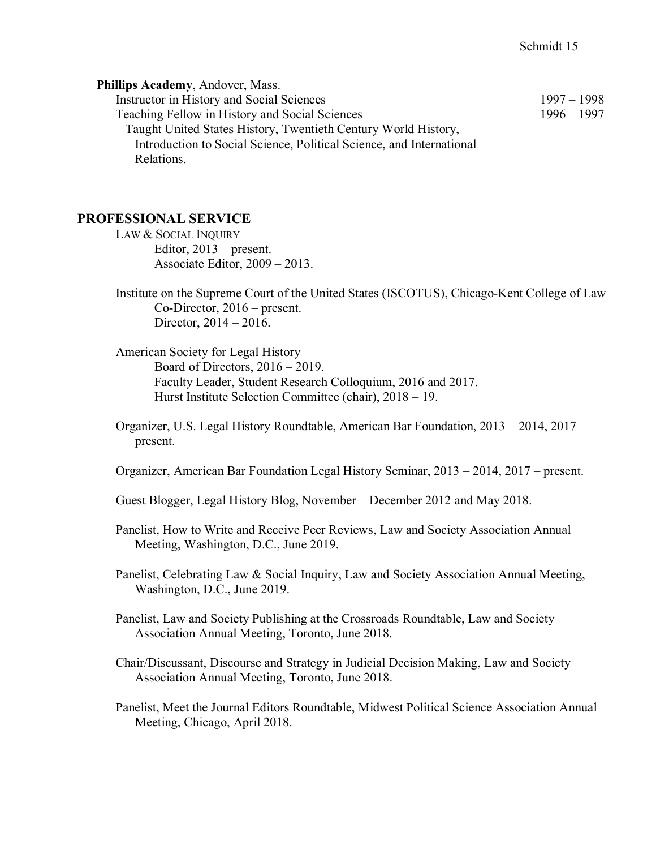| Phillips Academy, Andover, Mass.                                     |               |
|----------------------------------------------------------------------|---------------|
| Instructor in History and Social Sciences                            | $1997 - 1998$ |
| Teaching Fellow in History and Social Sciences                       | $1996 - 1997$ |
| Taught United States History, Twentieth Century World History,       |               |
| Introduction to Social Science, Political Science, and International |               |
| Relations.                                                           |               |

# **PROFESSIONAL SERVICE**

- LAW & SOCIAL INQUIRY Editor, 2013 – present. Associate Editor, 2009 – 2013.
- Institute on the Supreme Court of the United States (ISCOTUS), Chicago-Kent College of Law Co-Director, 2016 – present. Director, 2014 – 2016.
- American Society for Legal History Board of Directors, 2016 – 2019. Faculty Leader, Student Research Colloquium, 2016 and 2017. Hurst Institute Selection Committee (chair), 2018 – 19.
- Organizer, U.S. Legal History Roundtable, American Bar Foundation, 2013 2014, 2017 present.
- Organizer, American Bar Foundation Legal History Seminar, 2013 2014, 2017 present.
- Guest Blogger, Legal History Blog, November December 2012 and May 2018.
- Panelist, How to Write and Receive Peer Reviews, Law and Society Association Annual Meeting, Washington, D.C., June 2019.
- Panelist, Celebrating Law & Social Inquiry, Law and Society Association Annual Meeting, Washington, D.C., June 2019.
- Panelist, Law and Society Publishing at the Crossroads Roundtable, Law and Society Association Annual Meeting, Toronto, June 2018.
- Chair/Discussant, Discourse and Strategy in Judicial Decision Making, Law and Society Association Annual Meeting, Toronto, June 2018.
- Panelist, Meet the Journal Editors Roundtable, Midwest Political Science Association Annual Meeting, Chicago, April 2018.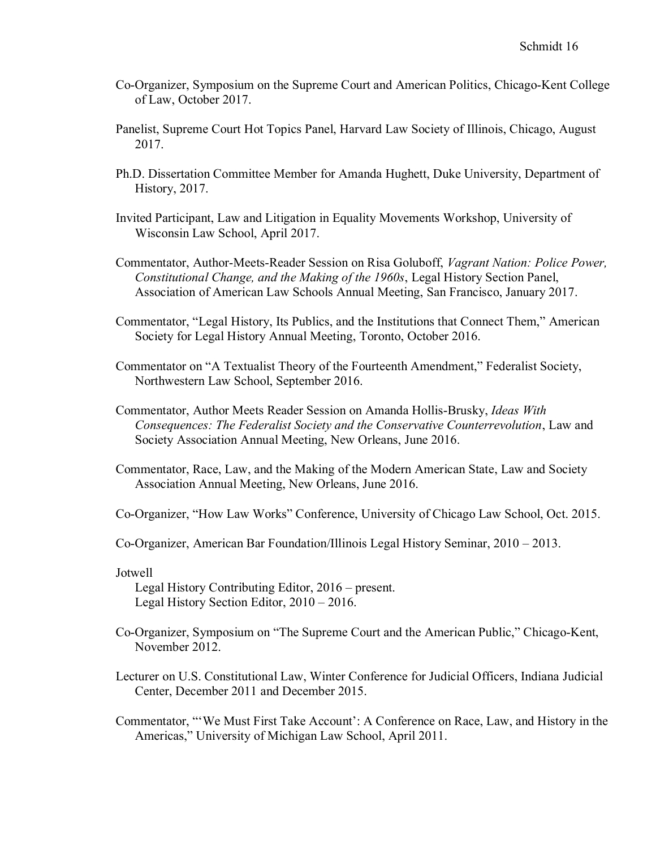- Co-Organizer, Symposium on the Supreme Court and American Politics, Chicago-Kent College of Law, October 2017.
- Panelist, Supreme Court Hot Topics Panel, Harvard Law Society of Illinois, Chicago, August 2017.
- Ph.D. Dissertation Committee Member for Amanda Hughett, Duke University, Department of History, 2017.
- Invited Participant, Law and Litigation in Equality Movements Workshop, University of Wisconsin Law School, April 2017.
- Commentator, Author-Meets-Reader Session on Risa Goluboff, *Vagrant Nation: Police Power, Constitutional Change, and the Making of the 1960s*, Legal History Section Panel, Association of American Law Schools Annual Meeting, San Francisco, January 2017.
- Commentator, "Legal History, Its Publics, and the Institutions that Connect Them," American Society for Legal History Annual Meeting, Toronto, October 2016.
- Commentator on "A Textualist Theory of the Fourteenth Amendment," Federalist Society, Northwestern Law School, September 2016.
- Commentator, Author Meets Reader Session on Amanda Hollis-Brusky, *Ideas With Consequences: The Federalist Society and the Conservative Counterrevolution*, Law and Society Association Annual Meeting, New Orleans, June 2016.
- Commentator, Race, Law, and the Making of the Modern American State, Law and Society Association Annual Meeting, New Orleans, June 2016.

Co-Organizer, "How Law Works" Conference, University of Chicago Law School, Oct. 2015.

Co-Organizer, American Bar Foundation/Illinois Legal History Seminar, 2010 – 2013.

Jotwell

Legal History Contributing Editor, 2016 – present. Legal History Section Editor, 2010 – 2016.

- Co-Organizer, Symposium on "The Supreme Court and the American Public," Chicago-Kent, November 2012.
- Lecturer on U.S. Constitutional Law, Winter Conference for Judicial Officers, Indiana Judicial Center, December 2011 and December 2015.

Commentator, "'We Must First Take Account': A Conference on Race, Law, and History in the Americas," University of Michigan Law School, April 2011.